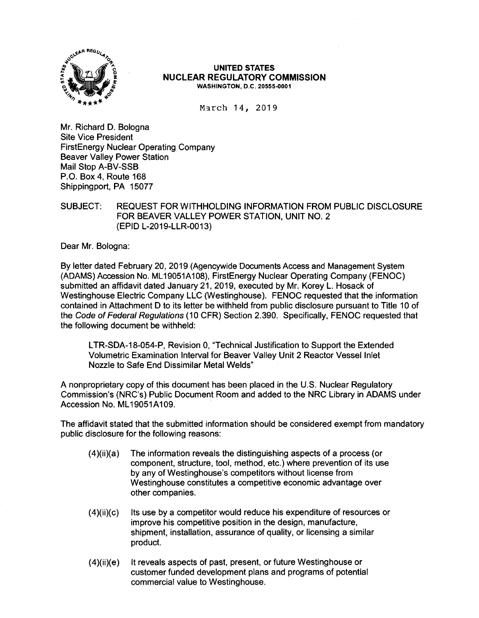

#### **UNITED STATES NUCLEAR REGULATORY COMMISSION WASHINGTON, D.C. 20555-0001**

March 14, 2019

Mr. Richard D. Bologna Site Vice President FirstEnergy Nuclear Operating Company Beaver Valley Power Station Mail Stop A-BV-SSB P.O. Box 4, Route 168 Shippingport, PA 15077

SUBJECT: REQUEST FOR WITHHOLDING INFORMATION FROM PUBLIC DISCLOSURE FOR BEAVER VALLEY POWER STATION, UNIT NO. 2 (EPID L-2019-LLR-0013)

Dear Mr. Bologna:

By letter dated February 20, 2019 (Agencywide Documents Access and Management System (ADAMS) Accession No. ML 19051A108), FirstEnergy Nuclear Operating Company (FENOC) submitted an affidavit dated January 21, 2019, executed by Mr. Korey L. Hosack of Westinghouse Electric Company LLC (Westinghouse). FENOC requested that the information contained in Attachment D to its letter be withheld from public disclosure pursuant to Title 10 of the Code of Federal Regulations (10 CFR) Section 2.390. Specifically, FENOC requested that the following document be withheld:

L TR-SDA-18-054-P, Revision 0, "Technical Justification to Support the Extended Volumetric Examination Interval for Beaver Valley Unit 2 Reactor Vessel Inlet Nozzle to Safe End Dissimilar Metal Welds"

A nonproprietary copy of this document has been placed in the U.S. Nuclear Regulatory Commission's (NRC's) Public Document Room and added to the NRC Library in ADAMS under Accession No. ML19051A109.

The affidavit stated that the submitted information should be considered exempt from mandatory public disclosure for the following reasons:

- (4)(ii)(a) The information reveals the distinguishing aspects of a process (or component, structure, tool, method, etc.) where prevention of its use by any of Westinghouse's competitors without license from Westinghouse constitutes a competitive economic advantage over other companies.
- (4)(ii)(c) Its use by a competitor would reduce his expenditure of resources or improve his competitive position in the design, manufacture, shipment, installation, assurance of quality, or licensing a similar product.
- (4)(ii)(e) It reveals aspects of past, present, or future Westinghouse or customer funded development plans and programs of potential commercial value to Westinghouse.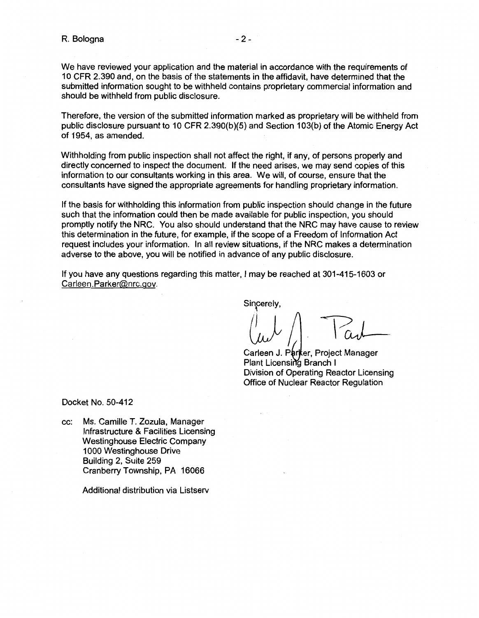We have reviewed your application and the material in accordance with the requirements of 10 CFR 2.390 and, on the basis of the statements in the affidavit, have determined that the submitted information sought to be withheld contains proprietary commercial information and should be withheld from public disclosure.

Therefore, the version of the submitted information marked as proprietary will be withheld from public disclosure pursuant to 10 CFR 2.390(b)(5) and Section 103(b) of the Atomic Energy Act of 1954, as amended.

Withholding from public inspection shall not affect the right, if any, of persons properly and directly concerned to inspect the document. If the need arises, we may send copies of this information to our consultants working in this area. We will, of course, ensure that the consultants have signed the appropriate agreements for handling proprietary information.

If the basis for withholding this information from public inspection should change in the future such that the information could then be made available for public inspection, you should promptly notify the NRC. You also should understand that the NRC may have cause to review this determination in the future, for example, if the scope of a Freedom of Information Act request includes your information. In all review situations, if the NRC makes a determination adverse to the above, you will be notified in advance of any public disclosure.

If you have any questions regarding this matter, I may be reached at 301-415-1603 or Carleen.Parker@nrc.gov.

Sincerely,

Cach

Carleen J. P**a**rker, Project Manager Plant Licensing Branch I Division of Operating Reactor Licensing Office of Nuclear Reactor Regulation

Docket No. 50-412

cc: Ms. Camille T. Zozula, Manager Infrastructure & Facilities Licensing Westinghouse Electric Company 1000 Westinghouse Drive Building 2, Suite 259 Cranberry Township, PA 16066

Additional distribution via Listserv